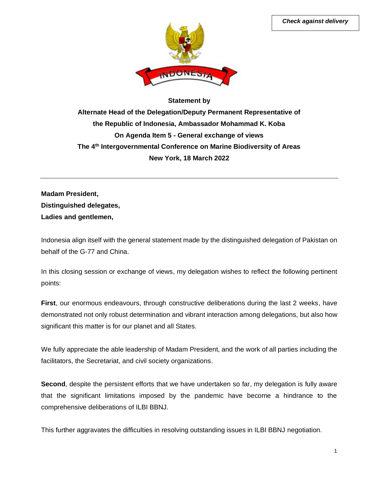

## **Statement by Alternate Head of the Delegation/Deputy Permanent Representative of the Republic of Indonesia, Ambassador Mohammad K. Koba On Agenda Item 5 - General exchange of views The 4th Intergovernmental Conference on Marine Biodiversity of Areas New York, 18 March 2022**

**Madam President, Distinguished delegates, Ladies and gentlemen,**

Indonesia align itself with the general statement made by the distinguished delegation of Pakistan on behalf of the G-77 and China.

In this closing session or exchange of views, my delegation wishes to reflect the following pertinent points:

**First**, our enormous endeavours, through constructive deliberations during the last 2 weeks, have demonstrated not only robust determination and vibrant interaction among delegations, but also how significant this matter is for our planet and all States.

We fully appreciate the able leadership of Madam President, and the work of all parties including the facilitators, the Secretariat, and civil society organizations.

**Second**, despite the persistent efforts that we have undertaken so far, my delegation is fully aware that the significant limitations imposed by the pandemic have become a hindrance to the comprehensive deliberations of ILBI BBNJ.

This further aggravates the difficulties in resolving outstanding issues in ILBI BBNJ negotiation.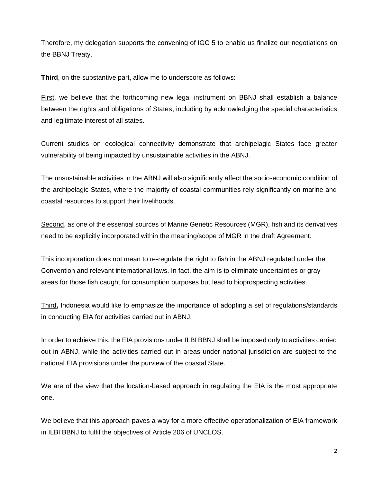Therefore, my delegation supports the convening of IGC 5 to enable us finalize our negotiations on the BBNJ Treaty.

**Third**, on the substantive part, allow me to underscore as follows:

First, we believe that the forthcoming new legal instrument on BBNJ shall establish a balance between the rights and obligations of States, including by acknowledging the special characteristics and legitimate interest of all states.

Current studies on ecological connectivity demonstrate that archipelagic States face greater vulnerability of being impacted by unsustainable activities in the ABNJ.

The unsustainable activities in the ABNJ will also significantly affect the socio-economic condition of the archipelagic States, where the majority of coastal communities rely significantly on marine and coastal resources to support their livelihoods.

Second, as one of the essential sources of Marine Genetic Resources (MGR), fish and its derivatives need to be explicitly incorporated within the meaning/scope of MGR in the draft Agreement.

This incorporation does not mean to re-regulate the right to fish in the ABNJ regulated under the Convention and relevant international laws. In fact, the aim is to eliminate uncertainties or gray areas for those fish caught for consumption purposes but lead to bioprospecting activities.

Third**,** Indonesia would like to emphasize the importance of adopting a set of regulations/standards in conducting EIA for activities carried out in ABNJ.

In order to achieve this, the EIA provisions under ILBI BBNJ shall be imposed only to activities carried out in ABNJ, while the activities carried out in areas under national jurisdiction are subject to the national EIA provisions under the purview of the coastal State.

We are of the view that the location-based approach in regulating the EIA is the most appropriate one.

We believe that this approach paves a way for a more effective operationalization of EIA framework in ILBI BBNJ to fulfil the objectives of Article 206 of UNCLOS.